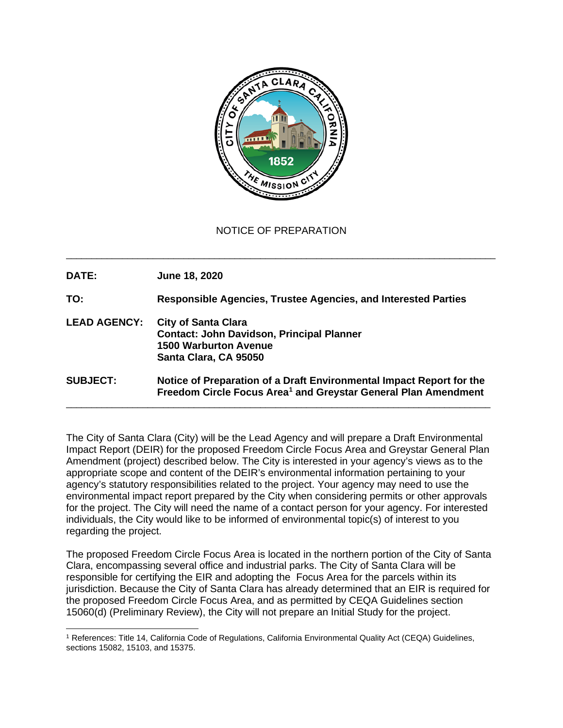

NOTICE OF PREPARATION

\_\_\_\_\_\_\_\_\_\_\_\_\_\_\_\_\_\_\_\_\_\_\_\_\_\_\_\_\_\_\_\_\_\_\_\_\_\_\_\_\_\_\_\_\_\_\_\_\_\_\_\_\_\_\_\_\_\_\_\_\_\_\_\_\_\_\_\_\_\_\_\_\_\_\_\_\_\_\_\_\_\_\_\_

**DATE: June 18, 2020 TO: Responsible Agencies, Trustee Agencies, and Interested Parties LEAD AGENCY: City of Santa Clara Contact: John Davidson, Principal Planner 1500 Warburton Avenue Santa Clara, CA 95050 SUBJECT: Notice of Preparation of a Draft Environmental Impact Report for the Freedom Circle Focus Area[1](#page-0-0) and Greystar General Plan Amendment** \_\_\_\_\_\_\_\_\_\_\_\_\_\_\_\_\_\_\_\_\_\_\_\_\_\_\_\_\_\_\_\_\_\_\_\_\_\_\_\_\_\_\_\_\_\_\_\_\_\_\_\_\_\_\_\_\_\_\_\_\_\_\_\_\_\_\_\_\_\_\_\_\_\_\_\_\_\_\_\_\_\_\_

The City of Santa Clara (City) will be the Lead Agency and will prepare a Draft Environmental Impact Report (DEIR) for the proposed Freedom Circle Focus Area and Greystar General Plan Amendment (project) described below. The City is interested in your agency's views as to the appropriate scope and content of the DEIR's environmental information pertaining to your agency's statutory responsibilities related to the project. Your agency may need to use the environmental impact report prepared by the City when considering permits or other approvals for the project. The City will need the name of a contact person for your agency. For interested individuals, the City would like to be informed of environmental topic(s) of interest to you regarding the project.

The proposed Freedom Circle Focus Area is located in the northern portion of the City of Santa Clara, encompassing several office and industrial parks. The City of Santa Clara will be responsible for certifying the EIR and adopting the Focus Area for the parcels within its jurisdiction. Because the City of Santa Clara has already determined that an EIR is required for the proposed Freedom Circle Focus Area, and as permitted by CEQA Guidelines section 15060(d) (Preliminary Review), the City will not prepare an Initial Study for the project.

<span id="page-0-0"></span><sup>1</sup> References: Title 14, California Code of Regulations, California Environmental Quality Act (CEQA) Guidelines, sections 15082, 15103, and 15375.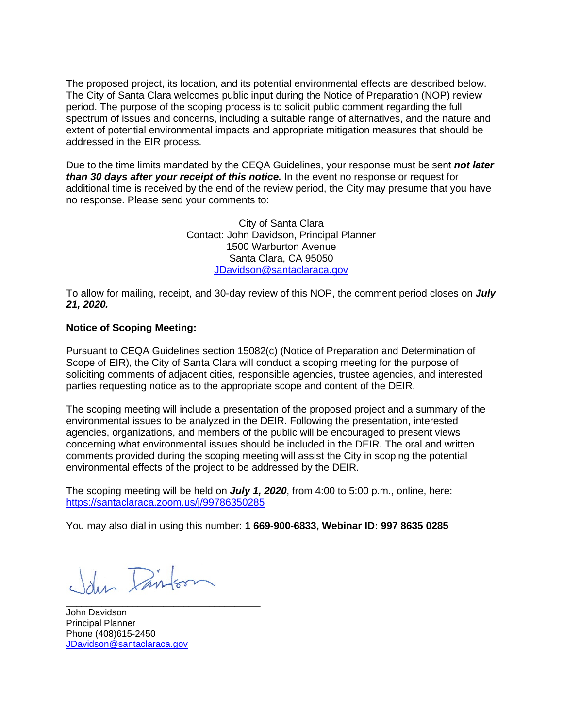The proposed project, its location, and its potential environmental effects are described below. The City of Santa Clara welcomes public input during the Notice of Preparation (NOP) review period. The purpose of the scoping process is to solicit public comment regarding the full spectrum of issues and concerns, including a suitable range of alternatives, and the nature and extent of potential environmental impacts and appropriate mitigation measures that should be addressed in the EIR process.

Due to the time limits mandated by the CEQA Guidelines, your response must be sent *not later than 30 days after your receipt of this notice.* In the event no response or request for additional time is received by the end of the review period, the City may presume that you have no response. Please send your comments to:

> City of Santa Clara Contact: John Davidson, Principal Planner 1500 Warburton Avenue Santa Clara, CA 95050 [JDavidson@santaclaraca.gov](mailto:EKerachian@santaclaraca.gov)

To allow for mailing, receipt, and 30-day review of this NOP, the comment period closes on *July 21, 2020.*

## **Notice of Scoping Meeting:**

Pursuant to CEQA Guidelines section 15082(c) (Notice of Preparation and Determination of Scope of EIR), the City of Santa Clara will conduct a scoping meeting for the purpose of soliciting comments of adjacent cities, responsible agencies, trustee agencies, and interested parties requesting notice as to the appropriate scope and content of the DEIR.

The scoping meeting will include a presentation of the proposed project and a summary of the environmental issues to be analyzed in the DEIR. Following the presentation, interested agencies, organizations, and members of the public will be encouraged to present views concerning what environmental issues should be included in the DEIR. The oral and written comments provided during the scoping meeting will assist the City in scoping the potential environmental effects of the project to be addressed by the DEIR.

The scoping meeting will be held on *July 1, 2020*, from 4:00 to 5:00 p.m., online, here: <https://santaclaraca.zoom.us/j/99786350285>

You may also dial in using this number: **1 669-900-6833, Webinar ID: 997 8635 0285**

John Painton

\_\_\_\_\_\_\_\_\_\_\_\_\_\_\_\_\_\_\_\_\_\_\_\_\_\_\_\_\_\_\_\_\_\_\_\_\_\_ John Davidson Principal Planner Phone (408)615-2450 [JDavidson@santaclaraca.gov](mailto:EKerachian@santaclaraca.gov)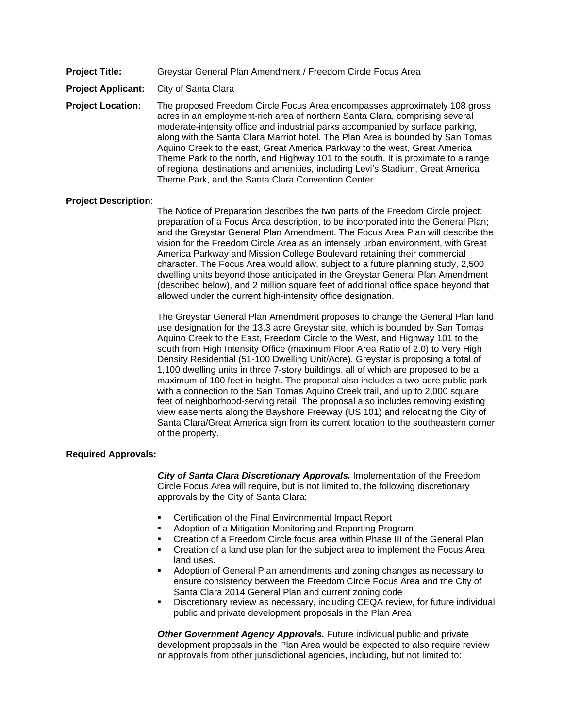**Project Title:** Greystar General Plan Amendment / Freedom Circle Focus Area

**Project Applicant:** City of Santa Clara

**Project Location:** The proposed Freedom Circle Focus Area encompasses approximately 108 gross acres in an employment-rich area of northern Santa Clara, comprising several moderate-intensity office and industrial parks accompanied by surface parking, along with the Santa Clara Marriot hotel. The Plan Area is bounded by San Tomas Aquino Creek to the east, Great America Parkway to the west, Great America Theme Park to the north, and Highway 101 to the south. It is proximate to a range of regional destinations and amenities, including Levi's Stadium, Great America Theme Park, and the Santa Clara Convention Center.

## **Project Description**:

The Notice of Preparation describes the two parts of the Freedom Circle project: preparation of a Focus Area description, to be incorporated into the General Plan; and the Greystar General Plan Amendment. The Focus Area Plan will describe the vision for the Freedom Circle Area as an intensely urban environment, with Great America Parkway and Mission College Boulevard retaining their commercial character. The Focus Area would allow, subject to a future planning study, 2,500 dwelling units beyond those anticipated in the Greystar General Plan Amendment (described below), and 2 million square feet of additional office space beyond that allowed under the current high-intensity office designation.

The Greystar General Plan Amendment proposes to change the General Plan land use designation for the 13.3 acre Greystar site, which is bounded by San Tomas Aquino Creek to the East, Freedom Circle to the West, and Highway 101 to the south from High Intensity Office (maximum Floor Area Ratio of 2.0) to Very High Density Residential (51-100 Dwelling Unit/Acre). Greystar is proposing a total of 1,100 dwelling units in three 7-story buildings, all of which are proposed to be a maximum of 100 feet in height. The proposal also includes a two-acre public park with a connection to the San Tomas Aquino Creek trail, and up to 2,000 square feet of neighborhood-serving retail. The proposal also includes removing existing view easements along the Bayshore Freeway (US 101) and relocating the City of Santa Clara/Great America sign from its current location to the southeastern corner of the property.

## **Required Approvals:**

*City of Santa Clara Discretionary Approvals.* Implementation of the Freedom Circle Focus Area will require, but is not limited to, the following discretionary approvals by the City of Santa Clara:

- Certification of the Final Environmental Impact Report
- Adoption of a Mitigation Monitoring and Reporting Program
- Creation of a Freedom Circle focus area within Phase III of the General Plan
- Creation of a land use plan for the subject area to implement the Focus Area land uses.
- Adoption of General Plan amendments and zoning changes as necessary to ensure consistency between the Freedom Circle Focus Area and the City of Santa Clara 2014 General Plan and current zoning code
- Discretionary review as necessary, including CEQA review, for future individual public and private development proposals in the Plan Area

*Other Government Agency Approvals.* Future individual public and private development proposals in the Plan Area would be expected to also require review or approvals from other jurisdictional agencies, including, but not limited to: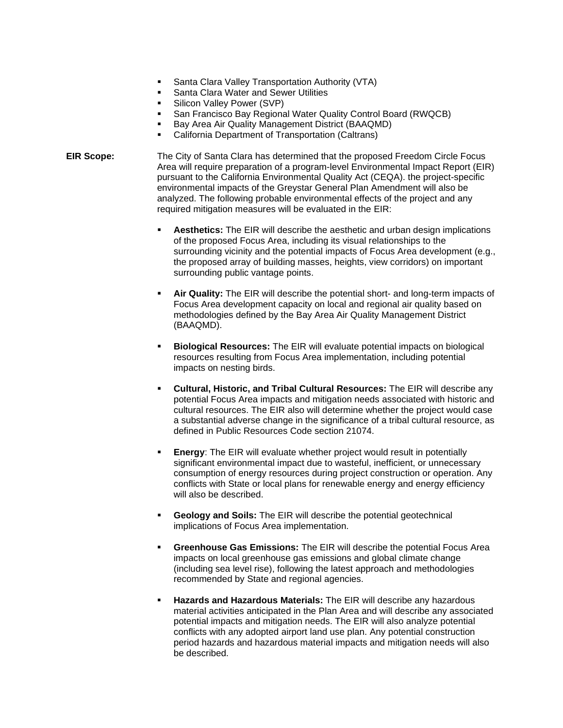- **Santa Clara Valley Transportation Authority (VTA)**
- Santa Clara Water and Sewer Utilities
- **Silicon Valley Power (SVP)**
- San Francisco Bay Regional Water Quality Control Board (RWQCB)
- Bay Area Air Quality Management District (BAAQMD)
- California Department of Transportation (Caltrans)
- **EIR Scope:** The City of Santa Clara has determined that the proposed Freedom Circle Focus Area will require preparation of a program-level Environmental Impact Report (EIR) pursuant to the California Environmental Quality Act (CEQA). the project-specific environmental impacts of the Greystar General Plan Amendment will also be analyzed. The following probable environmental effects of the project and any required mitigation measures will be evaluated in the EIR:
	- **Aesthetics:** The EIR will describe the aesthetic and urban design implications of the proposed Focus Area, including its visual relationships to the surrounding vicinity and the potential impacts of Focus Area development (e.g., the proposed array of building masses, heights, view corridors) on important surrounding public vantage points.
	- **Air Quality:** The EIR will describe the potential short- and long-term impacts of Focus Area development capacity on local and regional air quality based on methodologies defined by the Bay Area Air Quality Management District (BAAQMD).
	- **Biological Resources:** The EIR will evaluate potential impacts on biological resources resulting from Focus Area implementation, including potential impacts on nesting birds.
	- **Cultural, Historic, and Tribal Cultural Resources:** The EIR will describe any potential Focus Area impacts and mitigation needs associated with historic and cultural resources. The EIR also will determine whether the project would case a substantial adverse change in the significance of a tribal cultural resource, as defined in Public Resources Code section 21074.
	- **Energy**: The EIR will evaluate whether project would result in potentially significant environmental impact due to wasteful, inefficient, or unnecessary consumption of energy resources during project construction or operation. Any conflicts with State or local plans for renewable energy and energy efficiency will also be described.
	- **Geology and Soils:** The EIR will describe the potential geotechnical implications of Focus Area implementation.
	- **Greenhouse Gas Emissions:** The EIR will describe the potential Focus Area impacts on local greenhouse gas emissions and global climate change (including sea level rise), following the latest approach and methodologies recommended by State and regional agencies.
	- **Hazards and Hazardous Materials:** The EIR will describe any hazardous material activities anticipated in the Plan Area and will describe any associated potential impacts and mitigation needs. The EIR will also analyze potential conflicts with any adopted airport land use plan. Any potential construction period hazards and hazardous material impacts and mitigation needs will also be described.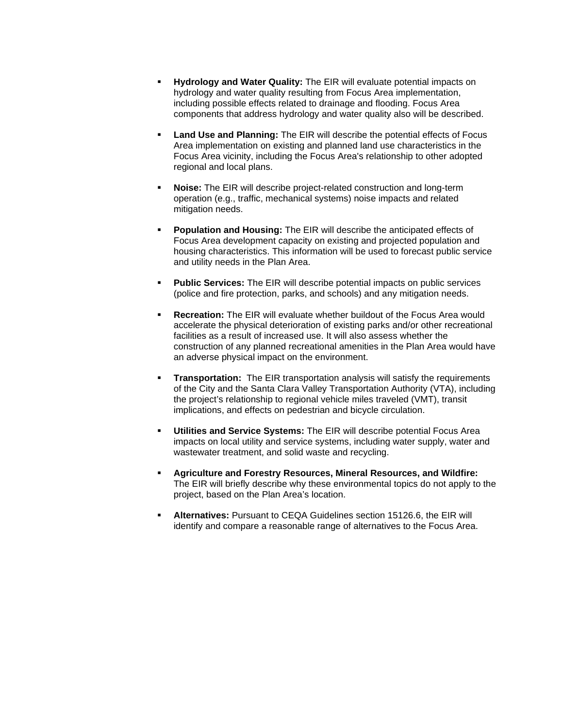- **Hydrology and Water Quality:** The EIR will evaluate potential impacts on hydrology and water quality resulting from Focus Area implementation, including possible effects related to drainage and flooding. Focus Area components that address hydrology and water quality also will be described.
- **Land Use and Planning:** The EIR will describe the potential effects of Focus Area implementation on existing and planned land use characteristics in the Focus Area vicinity, including the Focus Area's relationship to other adopted regional and local plans.
- **Noise:** The EIR will describe project-related construction and long-term operation (e.g., traffic, mechanical systems) noise impacts and related mitigation needs.
- **Population and Housing:** The EIR will describe the anticipated effects of Focus Area development capacity on existing and projected population and housing characteristics. This information will be used to forecast public service and utility needs in the Plan Area.
- **Public Services:** The EIR will describe potential impacts on public services (police and fire protection, parks, and schools) and any mitigation needs.
- **Recreation:** The EIR will evaluate whether buildout of the Focus Area would accelerate the physical deterioration of existing parks and/or other recreational facilities as a result of increased use. It will also assess whether the construction of any planned recreational amenities in the Plan Area would have an adverse physical impact on the environment.
- **Transportation:** The EIR transportation analysis will satisfy the requirements of the City and the Santa Clara Valley Transportation Authority (VTA), including the project's relationship to regional vehicle miles traveled (VMT), transit implications, and effects on pedestrian and bicycle circulation.
- **Utilities and Service Systems:** The EIR will describe potential Focus Area impacts on local utility and service systems, including water supply, water and wastewater treatment, and solid waste and recycling.
- **Agriculture and Forestry Resources, Mineral Resources, and Wildfire:** The EIR will briefly describe why these environmental topics do not apply to the project, based on the Plan Area's location.
- **Alternatives:** Pursuant to CEQA Guidelines section 15126.6, the EIR will identify and compare a reasonable range of alternatives to the Focus Area.